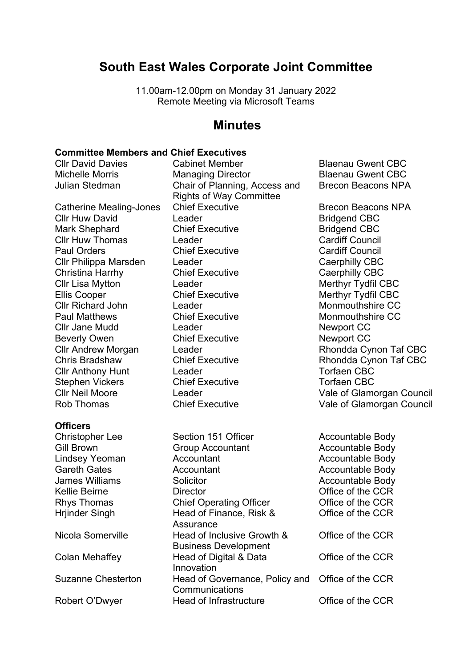# **South East Wales Corporate Joint Committee**

11.00am-12.00pm on Monday 31 January 2022 Remote Meeting via Microsoft Teams

# **Minutes**

### **Committee Members and Chief Executives**

Catherine Mealing-Jones Chief Executive **Brecon Beacons NPA** Cllr Huw David Cleader Cleader Clease Clean CBC Mark Shephard Chief Executive Charles Bridgend CBC Cllr Huw Thomas Leader Cardiff Council Paul Orders Chief Executive Cardiff Council Cllr Philippa Marsden Leader Cleen Caerphilly CBC Christina Harrhy Chief Executive Cherry Caerphilly CBC Cllr Lisa Mytton Leader Cllr Lisa Merthyr Tydfil CBC Ellis Cooper Chief Executive Chief Executive Merthyr Tydfil CBC Cllr Richard John Leader Monmouthshire CC Paul Matthews **Chief Executive Monmouthshire CC** Cllr Jane Mudd **Leader Newport CC Newport CC** Beverly Owen Chief Executive Contact Newport CC Cllr Anthony Hunt Leader CBC Stephen Vickers Chief Executive Changes Torfaen CBC

### **Officers**

Cllr David Davies Cabinet Member Blaenau Gwent CBC Michelle Morris **Managing Director** Blaenau Gwent CBC Julian Stedman Chair of Planning, Access and Rights of Way Committee

Christopher Lee Section 151 Officer Accountable Body Gill Brown Group Accountant Accountable Body Lindsey Yeoman **Accountant** Accountable Body Gareth Gates **Accountant Accountable Body** James Williams **Solicitor** Solicitor **Accountable Body** Kellie Beirne **Director Director COLL Office of the CCR** Rhys Thomas Chief Operating Officer Coffice of the CCR Hrjinder Singh Head of Finance, Risk & **Assurance** Nicola Somerville Head of Inclusive Growth & Business Development Colan Mehaffey Head of Digital & Data Innovation Suzanne Chesterton Head of Governance, Policy and Office of the CCR **Communications** Robert O'Dwyer **Head of Infrastructure** Office of the CCR

Brecon Beacons NPA

Cllr Andrew Morgan Leader Rhondda Cynon Taf CBC Chris Bradshaw Chief Executive Chris Rhondda Cynon Taf CBC Cllr Neil Moore Leader Vale of Glamorgan Council Chief Executive Vale of Glamorgan Council

> Office of the CCR Office of the CCR Office of the CCR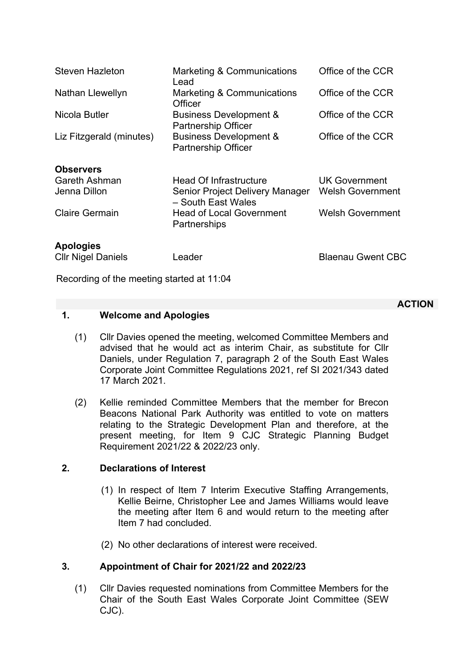| <b>Steven Hazleton</b>                        | Marketing & Communications<br>Lead                                                     | Office of the CCR                               |
|-----------------------------------------------|----------------------------------------------------------------------------------------|-------------------------------------------------|
| Nathan Llewellyn                              | Marketing & Communications<br>Officer                                                  | Office of the CCR                               |
| Nicola Butler                                 | <b>Business Development &amp;</b><br><b>Partnership Officer</b>                        | Office of the CCR                               |
| Liz Fitzgerald (minutes)                      | <b>Business Development &amp;</b><br><b>Partnership Officer</b>                        | Office of the CCR                               |
| <b>Observers</b>                              |                                                                                        |                                                 |
| Gareth Ashman<br>Jenna Dillon                 | <b>Head Of Infrastructure</b><br>Senior Project Delivery Manager<br>- South East Wales | <b>UK Government</b><br><b>Welsh Government</b> |
| <b>Claire Germain</b>                         | <b>Head of Local Government</b><br>Partnerships                                        | <b>Welsh Government</b>                         |
| <b>Apologies</b><br><b>Cllr Nigel Daniels</b> | Leader                                                                                 | <b>Blaenau Gwent CBC</b>                        |
|                                               |                                                                                        |                                                 |

Recording of the meeting started at 11:04

### **1. Welcome and Apologies**

- (1) Cllr Davies opened the meeting, welcomed Committee Members and advised that he would act as interim Chair, as substitute for Cllr Daniels, under Regulation 7, paragraph 2 of the South East Wales Corporate Joint Committee Regulations 2021, ref SI 2021/343 dated 17 March 2021.
- (2) Kellie reminded Committee Members that the member for Brecon Beacons National Park Authority was entitled to vote on matters relating to the Strategic Development Plan and therefore, at the present meeting, for Item 9 CJC Strategic Planning Budget Requirement 2021/22 & 2022/23 only.

# **2. Declarations of Interest**

- (1) In respect of Item 7 Interim Executive Staffing Arrangements, Kellie Beirne, Christopher Lee and James Williams would leave the meeting after Item 6 and would return to the meeting after Item 7 had concluded.
- (2) No other declarations of interest were received.

# **3. Appointment of Chair for 2021/22 and 2022/23**

(1) Cllr Davies requested nominations from Committee Members for the Chair of the South East Wales Corporate Joint Committee (SEW CJC).

### **ACTION**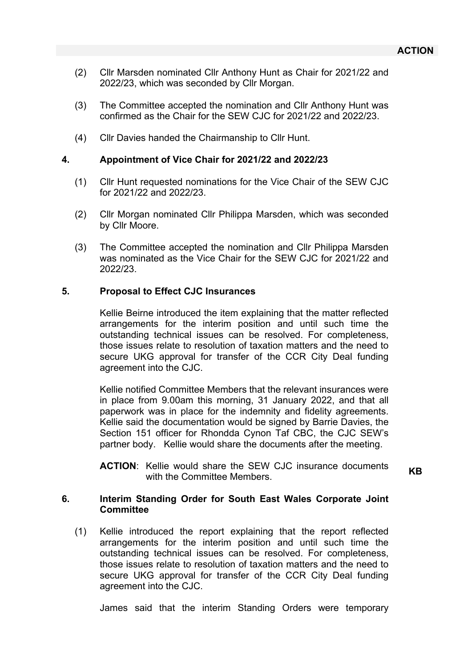- (2) Cllr Marsden nominated Cllr Anthony Hunt as Chair for 2021/22 and 2022/23, which was seconded by Cllr Morgan.
- (3) The Committee accepted the nomination and Cllr Anthony Hunt was confirmed as the Chair for the SEW CJC for 2021/22 and 2022/23.
- (4) Cllr Davies handed the Chairmanship to Cllr Hunt.

### **4. Appointment of Vice Chair for 2021/22 and 2022/23**

- (1) Cllr Hunt requested nominations for the Vice Chair of the SEW CJC for 2021/22 and 2022/23.
- (2) Cllr Morgan nominated Cllr Philippa Marsden, which was seconded by Cllr Moore.
- (3) The Committee accepted the nomination and Cllr Philippa Marsden was nominated as the Vice Chair for the SEW CJC for 2021/22 and 2022/23.

### **5. Proposal to Effect CJC Insurances**

Kellie Beirne introduced the item explaining that the matter reflected arrangements for the interim position and until such time the outstanding technical issues can be resolved. For completeness, those issues relate to resolution of taxation matters and the need to secure UKG approval for transfer of the CCR City Deal funding agreement into the CJC.

Kellie notified Committee Members that the relevant insurances were in place from 9.00am this morning, 31 January 2022, and that all paperwork was in place for the indemnity and fidelity agreements. Kellie said the documentation would be signed by Barrie Davies, the Section 151 officer for Rhondda Cynon Taf CBC, the CJC SEW's partner body. Kellie would share the documents after the meeting.

**ACTION**: Kellie would share the SEW CJC insurance documents with the Committee Members.<br>with the Committee Members.

### **6. Interim Standing Order for South East Wales Corporate Joint Committee**

(1) Kellie introduced the report explaining that the report reflected arrangements for the interim position and until such time the outstanding technical issues can be resolved. For completeness, those issues relate to resolution of taxation matters and the need to secure UKG approval for transfer of the CCR City Deal funding agreement into the CJC.

James said that the interim Standing Orders were temporary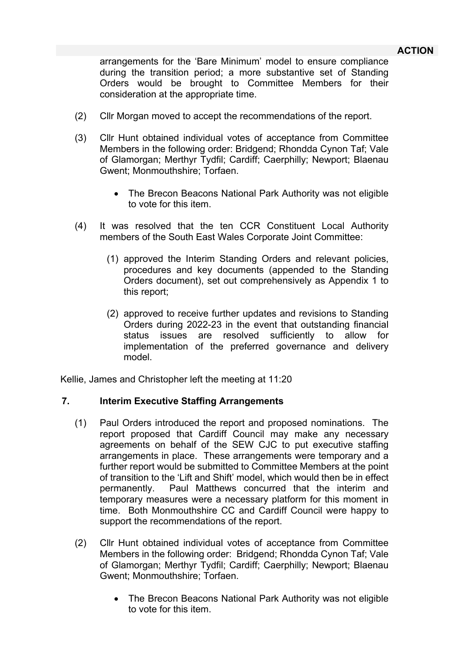arrangements for the 'Bare Minimum' model to ensure compliance during the transition period; a more substantive set of Standing Orders would be brought to Committee Members for their consideration at the appropriate time.

- (2) Cllr Morgan moved to accept the recommendations of the report.
- (3) Cllr Hunt obtained individual votes of acceptance from Committee Members in the following order: Bridgend; Rhondda Cynon Taf; Vale of Glamorgan; Merthyr Tydfil; Cardiff; Caerphilly; Newport; Blaenau Gwent; Monmouthshire; Torfaen.
	- The Brecon Beacons National Park Authority was not eligible to vote for this item.
- (4) It was resolved that the ten CCR Constituent Local Authority members of the South East Wales Corporate Joint Committee:
	- (1) approved the Interim Standing Orders and relevant policies, procedures and key documents (appended to the Standing Orders document), set out comprehensively as Appendix 1 to this report;
	- (2) approved to receive further updates and revisions to Standing Orders during 2022-23 in the event that outstanding financial status issues are resolved sufficiently to allow for implementation of the preferred governance and delivery model.

Kellie, James and Christopher left the meeting at 11:20

### **7. Interim Executive Staffing Arrangements**

- (1) Paul Orders introduced the report and proposed nominations. The report proposed that Cardiff Council may make any necessary agreements on behalf of the SEW CJC to put executive staffing arrangements in place. These arrangements were temporary and a further report would be submitted to Committee Members at the point of transition to the 'Lift and Shift' model, which would then be in effect permanently. Paul Matthews concurred that the interim and temporary measures were a necessary platform for this moment in time. Both Monmouthshire CC and Cardiff Council were happy to support the recommendations of the report.
- (2) Cllr Hunt obtained individual votes of acceptance from Committee Members in the following order: Bridgend; Rhondda Cynon Taf; Vale of Glamorgan; Merthyr Tydfil; Cardiff; Caerphilly; Newport; Blaenau Gwent; Monmouthshire; Torfaen.
	- The Brecon Beacons National Park Authority was not eligible to vote for this item.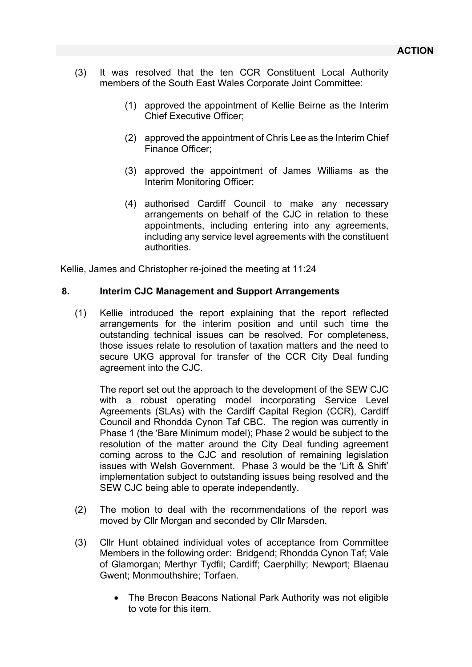- (3) It was resolved that the ten CCR Constituent Local Authority members of the South East Wales Corporate Joint Committee:
	- (1) approved the appointment of Kellie Beirne as the Interim Chief Executive Officer;
	- (2) approved the appointment of Chris Lee as the Interim Chief Finance Officer;
	- (3) approved the appointment of James Williams as the Interim Monitoring Officer;
	- (4) authorised Cardiff Council to make any necessary arrangements on behalf of the CJC in relation to these appointments, including entering into any agreements, including any service level agreements with the constituent authorities.

Kellie, James and Christopher re-joined the meeting at 11:24

### **8. Interim CJC Management and Support Arrangements**

(1) Kellie introduced the report explaining that the report reflected arrangements for the interim position and until such time the outstanding technical issues can be resolved. For completeness, those issues relate to resolution of taxation matters and the need to secure UKG approval for transfer of the CCR City Deal funding agreement into the CJC.

The report set out the approach to the development of the SEW CJC with a robust operating model incorporating Service Level Agreements (SLAs) with the Cardiff Capital Region (CCR), Cardiff Council and Rhondda Cynon Taf CBC. The region was currently in Phase 1 (the 'Bare Minimum model); Phase 2 would be subject to the resolution of the matter around the City Deal funding agreement coming across to the CJC and resolution of remaining legislation issues with Welsh Government. Phase 3 would be the 'Lift & Shift' implementation subject to outstanding issues being resolved and the SEW CJC being able to operate independently.

- (2) The motion to deal with the recommendations of the report was moved by Cllr Morgan and seconded by Cllr Marsden.
- (3) Cllr Hunt obtained individual votes of acceptance from Committee Members in the following order: Bridgend; Rhondda Cynon Taf; Vale of Glamorgan; Merthyr Tydfil; Cardiff; Caerphilly; Newport; Blaenau Gwent; Monmouthshire; Torfaen.
	- The Brecon Beacons National Park Authority was not eligible to vote for this item.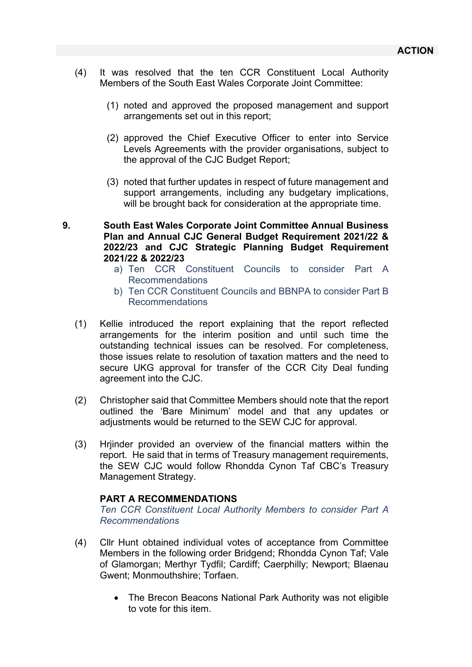- (4) It was resolved that the ten CCR Constituent Local Authority Members of the South East Wales Corporate Joint Committee:
	- (1) noted and approved the proposed management and support arrangements set out in this report;
	- (2) approved the Chief Executive Officer to enter into Service Levels Agreements with the provider organisations, subject to the approval of the CJC Budget Report;
	- (3) noted that further updates in respect of future management and support arrangements, including any budgetary implications, will be brought back for consideration at the appropriate time.
- **9. South East Wales Corporate Joint Committee Annual Business Plan and Annual CJC General Budget Requirement 2021/22 & 2022/23 and CJC Strategic Planning Budget Requirement 2021/22 & 2022/23**
	- a) Ten CCR Constituent Councils to consider Part A Recommendations
	- b) Ten CCR Constituent Councils and BBNPA to consider Part B Recommendations
	- (1) Kellie introduced the report explaining that the report reflected arrangements for the interim position and until such time the outstanding technical issues can be resolved. For completeness, those issues relate to resolution of taxation matters and the need to secure UKG approval for transfer of the CCR City Deal funding agreement into the CJC.
	- (2) Christopher said that Committee Members should note that the report outlined the 'Bare Minimum' model and that any updates or adjustments would be returned to the SEW CJC for approval.
	- (3) Hrjinder provided an overview of the financial matters within the report. He said that in terms of Treasury management requirements, the SEW CJC would follow Rhondda Cynon Taf CBC's Treasury Management Strategy.

### **PART A RECOMMENDATIONS**

*Ten CCR Constituent Local Authority Members to consider Part A Recommendations*

- (4) Cllr Hunt obtained individual votes of acceptance from Committee Members in the following order Bridgend; Rhondda Cynon Taf; Vale of Glamorgan; Merthyr Tydfil; Cardiff; Caerphilly; Newport; Blaenau Gwent; Monmouthshire; Torfaen.
	- The Brecon Beacons National Park Authority was not eligible to vote for this item.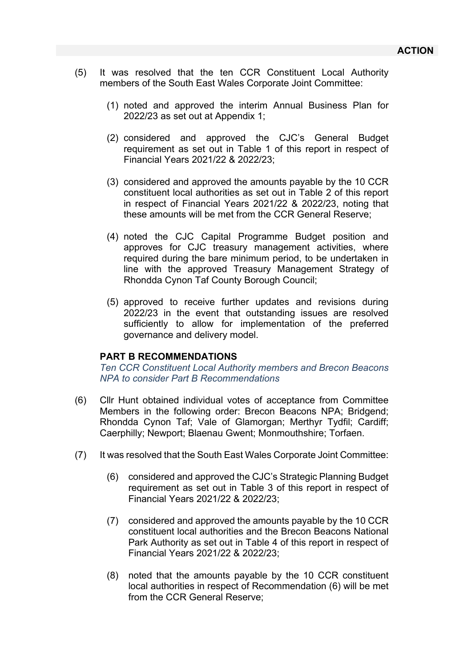- (5) It was resolved that the ten CCR Constituent Local Authority members of the South East Wales Corporate Joint Committee:
	- (1) noted and approved the interim Annual Business Plan for 2022/23 as set out at Appendix 1;
	- (2) considered and approved the CJC's General Budget requirement as set out in Table 1 of this report in respect of Financial Years 2021/22 & 2022/23;
	- (3) considered and approved the amounts payable by the 10 CCR constituent local authorities as set out in Table 2 of this report in respect of Financial Years 2021/22 & 2022/23, noting that these amounts will be met from the CCR General Reserve;
	- (4) noted the CJC Capital Programme Budget position and approves for CJC treasury management activities, where required during the bare minimum period, to be undertaken in line with the approved Treasury Management Strategy of Rhondda Cynon Taf County Borough Council;
	- (5) approved to receive further updates and revisions during 2022/23 in the event that outstanding issues are resolved sufficiently to allow for implementation of the preferred governance and delivery model.

### **PART B RECOMMENDATIONS**

*Ten CCR Constituent Local Authority members and Brecon Beacons NPA to consider Part B Recommendations*

- (6) Cllr Hunt obtained individual votes of acceptance from Committee Members in the following order: Brecon Beacons NPA; Bridgend; Rhondda Cynon Taf; Vale of Glamorgan; Merthyr Tydfil; Cardiff; Caerphilly; Newport; Blaenau Gwent; Monmouthshire; Torfaen.
- (7) It was resolved that the South East Wales Corporate Joint Committee:
	- (6) considered and approved the CJC's Strategic Planning Budget requirement as set out in Table 3 of this report in respect of Financial Years 2021/22 & 2022/23;
	- (7) considered and approved the amounts payable by the 10 CCR constituent local authorities and the Brecon Beacons National Park Authority as set out in Table 4 of this report in respect of Financial Years 2021/22 & 2022/23;
	- (8) noted that the amounts payable by the 10 CCR constituent local authorities in respect of Recommendation (6) will be met from the CCR General Reserve;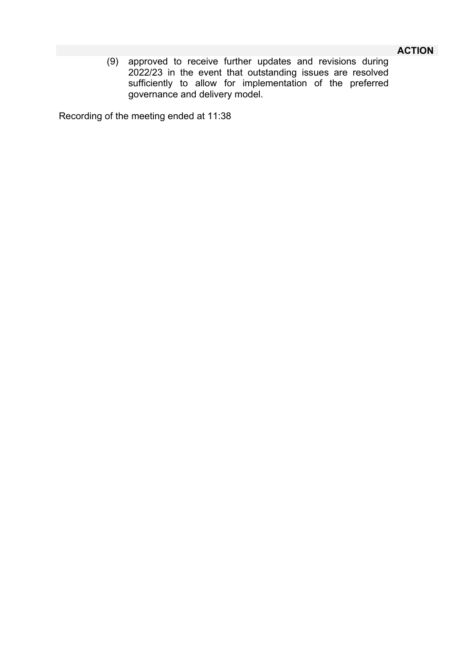# **ACTION**

(9) approved to receive further updates and revisions during 2022/23 in the event that outstanding issues are resolved sufficiently to allow for implementation of the preferred governance and delivery model.

Recording of the meeting ended at 11:38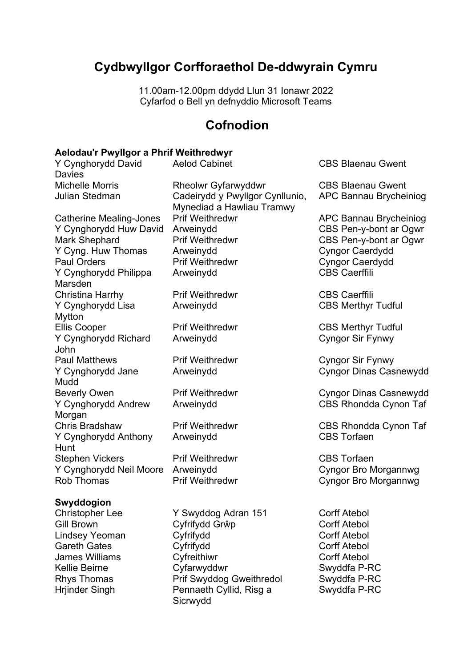# **Cydbwyllgor Corfforaethol De-ddwyrain Cymru**

11.00am-12.00pm ddydd Llun 31 Ionawr 2022 Cyfarfod o Bell yn defnyddio Microsoft Teams

# **Cofnodion**

### **Aelodau'r Pwyllgor a Phrif Weithredwyr**

| <b>Aelod Cabinet</b>                                                                     | <b>CBS Blaenau Gwent</b>                                                                                                                                   |
|------------------------------------------------------------------------------------------|------------------------------------------------------------------------------------------------------------------------------------------------------------|
| <b>Rheolwr Gyfarwyddwr</b>                                                               | <b>CBS Blaenau Gwent</b>                                                                                                                                   |
| Cadeirydd y Pwyllgor Cynllunio,                                                          | APC Bannau Brycheiniog                                                                                                                                     |
| <b>Prif Weithredwr</b>                                                                   | <b>APC Bannau Brycheiniog</b>                                                                                                                              |
| Arweinydd                                                                                | CBS Pen-y-bont ar Ogwr                                                                                                                                     |
| <b>Prif Weithredwr</b>                                                                   | CBS Pen-y-bont ar Ogwr                                                                                                                                     |
| Arweinydd                                                                                | <b>Cyngor Caerdydd</b>                                                                                                                                     |
| <b>Prif Weithredwr</b>                                                                   | <b>Cyngor Caerdydd</b>                                                                                                                                     |
| Arweinydd                                                                                | <b>CBS Caerffili</b>                                                                                                                                       |
| <b>Prif Weithredwr</b>                                                                   | <b>CBS Caerffili</b>                                                                                                                                       |
| Arweinydd                                                                                | <b>CBS Merthyr Tudful</b>                                                                                                                                  |
| <b>Prif Weithredwr</b>                                                                   | <b>CBS Merthyr Tudful</b>                                                                                                                                  |
| Arweinydd                                                                                | <b>Cyngor Sir Fynwy</b>                                                                                                                                    |
| <b>Prif Weithredwr</b>                                                                   | <b>Cyngor Sir Fynwy</b>                                                                                                                                    |
| Arweinydd                                                                                | <b>Cyngor Dinas Casnewydd</b>                                                                                                                              |
| <b>Prif Weithredwr</b>                                                                   | <b>Cyngor Dinas Casnewydd</b>                                                                                                                              |
| Arweinydd                                                                                | <b>CBS Rhondda Cynon Taf</b>                                                                                                                               |
| <b>Prif Weithredwr</b>                                                                   | CBS Rhondda Cynon Taf                                                                                                                                      |
| Arweinydd                                                                                | <b>CBS Torfaen</b>                                                                                                                                         |
| <b>Prif Weithredwr</b><br>Y Cynghorydd Neil Moore<br>Arweinydd<br><b>Prif Weithredwr</b> | <b>CBS</b> Torfaen<br><b>Cyngor Bro Morgannwg</b><br>Cyngor Bro Morgannwg                                                                                  |
|                                                                                          |                                                                                                                                                            |
| Y Swyddog Adran 151<br>Cyfrifydd Grŵp<br>Cyfrifydd<br>Cyfrifydd<br>Cyfreithiwr           | <b>Corff Atebol</b><br><b>Corff Atebol</b><br><b>Corff Atebol</b><br><b>Corff Atebol</b><br><b>Corff Atebol</b><br>$\circ$ $\circ$ $\circ$ $\circ$ $\circ$ |
|                                                                                          | Mynediad a Hawliau Tramwy<br>\r 11                                                                                                                         |

Kellie Beirne Cyfarwyddwr Swyddfa P-RC Rhys Thomas Prif Swyddog Gweithredol<br>Hrjinder Singh Pennaeth Cyllid, Risg a Pennaeth Cyllid, Risg a Sicrwydd

Swyddfa P-RC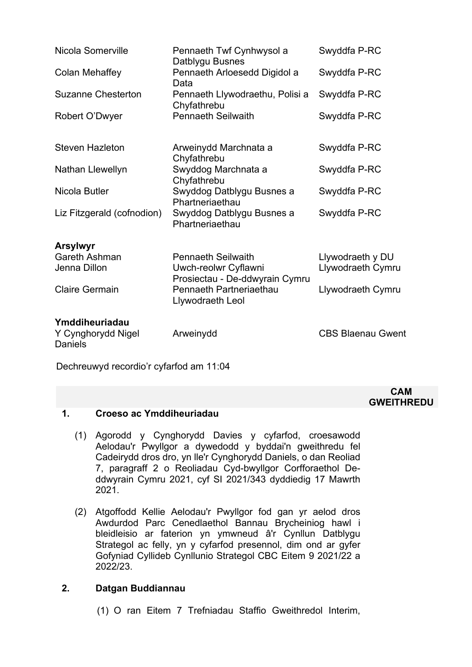| Nicola Somerville                                      | Pennaeth Twf Cynhwysol a<br>Datblygu Busnes                                         | Swyddfa P-RC                          |
|--------------------------------------------------------|-------------------------------------------------------------------------------------|---------------------------------------|
| Colan Mehaffey                                         | Pennaeth Arloesedd Digidol a<br>Data                                                | Swyddfa P-RC                          |
| <b>Suzanne Chesterton</b>                              | Pennaeth Llywodraethu, Polisi a<br>Chyfathrebu                                      | Swyddfa P-RC                          |
| Robert O'Dwyer                                         | <b>Pennaeth Seilwaith</b>                                                           | Swyddfa P-RC                          |
| <b>Steven Hazleton</b>                                 | Arweinydd Marchnata a<br>Chyfathrebu                                                | Swyddfa P-RC                          |
| Nathan Llewellyn                                       | Swyddog Marchnata a<br>Chyfathrebu                                                  | Swyddfa P-RC                          |
| Nicola Butler                                          | Swyddog Datblygu Busnes a<br>Phartneriaethau                                        | Swyddfa P-RC                          |
| Liz Fitzgerald (cofnodion)                             | Swyddog Datblygu Busnes a<br>Phartneriaethau                                        | Swyddfa P-RC                          |
| <b>Arsylwyr</b>                                        |                                                                                     |                                       |
| <b>Gareth Ashman</b><br>Jenna Dillon                   | <b>Pennaeth Seilwaith</b><br>Uwch-reolwr Cyflawni<br>Prosiectau - De-ddwyrain Cymru | Llywodraeth y DU<br>Llywodraeth Cymru |
| <b>Claire Germain</b>                                  | Pennaeth Partneriaethau<br>Llywodraeth Leol                                         | Llywodraeth Cymru                     |
| Ymddiheuriadau<br>Y Cynghorydd Nigel<br><b>Daniels</b> | Arweinydd                                                                           | <b>CBS Blaenau Gwent</b>              |

Dechreuwyd recordio'r cyfarfod am 11:04

#### **CAM GWEITHREDU**

# **1. Croeso ac Ymddiheuriadau**

- (1) Agorodd y Cynghorydd Davies y cyfarfod, croesawodd Aelodau'r Pwyllgor a dywedodd y byddai'n gweithredu fel Cadeirydd dros dro, yn lle'r Cynghorydd Daniels, o dan Reoliad 7, paragraff 2 o Reoliadau Cyd-bwyllgor Corfforaethol Deddwyrain Cymru 2021, cyf SI 2021/343 dyddiedig 17 Mawrth 2021.
- (2) Atgoffodd Kellie Aelodau'r Pwyllgor fod gan yr aelod dros Awdurdod Parc Cenedlaethol Bannau Brycheiniog hawl i bleidleisio ar faterion yn ymwneud â'r Cynllun Datblygu Strategol ac felly, yn y cyfarfod presennol, dim ond ar gyfer Gofyniad Cyllideb Cynllunio Strategol CBC Eitem 9 2021/22 a 2022/23.

### **2. Datgan Buddiannau**

(1) O ran Eitem 7 Trefniadau Staffio Gweithredol Interim,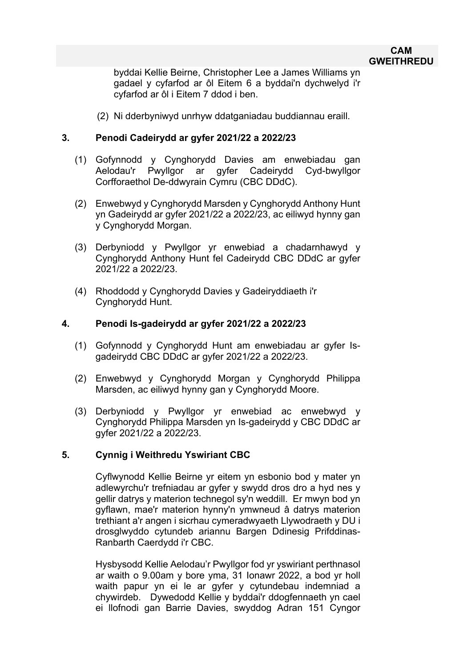### **CAM GWEITHREDU**

byddai Kellie Beirne, Christopher Lee a James Williams yn gadael y cyfarfod ar ôl Eitem 6 a byddai'n dychwelyd i'r cyfarfod ar ôl i Eitem 7 ddod i ben.

(2) Ni dderbyniwyd unrhyw ddatganiadau buddiannau eraill.

### **3. Penodi Cadeirydd ar gyfer 2021/22 a 2022/23**

- (1) Gofynnodd y Cynghorydd Davies am enwebiadau gan Aelodau'r Pwyllgor ar gyfer Cadeirydd Cyd-bwyllgor Corfforaethol De-ddwyrain Cymru (CBC DDdC).
- (2) Enwebwyd y Cynghorydd Marsden y Cynghorydd Anthony Hunt yn Gadeirydd ar gyfer 2021/22 a 2022/23, ac eiliwyd hynny gan y Cynghorydd Morgan.
- (3) Derbyniodd y Pwyllgor yr enwebiad a chadarnhawyd y Cynghorydd Anthony Hunt fel Cadeirydd CBC DDdC ar gyfer 2021/22 a 2022/23.
- (4) Rhoddodd y Cynghorydd Davies y Gadeiryddiaeth i'r Cynghorydd Hunt.

### **4. Penodi Is-gadeirydd ar gyfer 2021/22 a 2022/23**

- (1) Gofynnodd y Cynghorydd Hunt am enwebiadau ar gyfer Isgadeirydd CBC DDdC ar gyfer 2021/22 a 2022/23.
- (2) Enwebwyd y Cynghorydd Morgan y Cynghorydd Philippa Marsden, ac eiliwyd hynny gan y Cynghorydd Moore.
- (3) Derbyniodd y Pwyllgor yr enwebiad ac enwebwyd y Cynghorydd Philippa Marsden yn Is-gadeirydd y CBC DDdC ar gyfer 2021/22 a 2022/23.

### **5. Cynnig i Weithredu Yswiriant CBC**

Cyflwynodd Kellie Beirne yr eitem yn esbonio bod y mater yn adlewyrchu'r trefniadau ar gyfer y swydd dros dro a hyd nes y gellir datrys y materion technegol sy'n weddill. Er mwyn bod yn gyflawn, mae'r materion hynny'n ymwneud â datrys materion trethiant a'r angen i sicrhau cymeradwyaeth Llywodraeth y DU i drosglwyddo cytundeb ariannu Bargen Ddinesig Prifddinas-Ranbarth Caerdydd i'r CBC.

Hysbysodd Kellie Aelodau'r Pwyllgor fod yr yswiriant perthnasol ar waith o 9.00am y bore yma, 31 Ionawr 2022, a bod yr holl waith papur yn ei le ar gyfer y cytundebau indemniad a chywirdeb. Dywedodd Kellie y byddai'r ddogfennaeth yn cael ei llofnodi gan Barrie Davies, swyddog Adran 151 Cyngor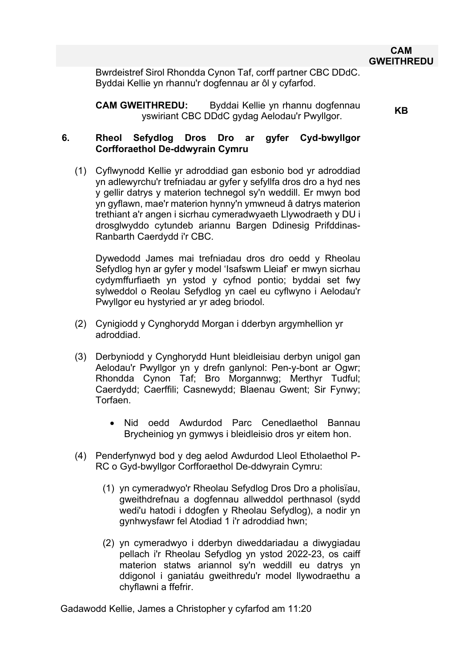Bwrdeistref Sirol Rhondda Cynon Taf, corff partner CBC DDdC. Byddai Kellie yn rhannu'r dogfennau ar ôl y cyfarfod.

**CAM GWEITHREDU:** Byddai Kellie yn rhannu dogfennau yswiriant CBC DDdC gydag Aelodau'r Pwyllgor. **KB**

### **6. Rheol Sefydlog Dros Dro ar gyfer Cyd-bwyllgor Corfforaethol De-ddwyrain Cymru**

(1) Cyflwynodd Kellie yr adroddiad gan esbonio bod yr adroddiad yn adlewyrchu'r trefniadau ar gyfer y sefyllfa dros dro a hyd nes y gellir datrys y materion technegol sy'n weddill. Er mwyn bod yn gyflawn, mae'r materion hynny'n ymwneud â datrys materion trethiant a'r angen i sicrhau cymeradwyaeth Llywodraeth y DU i drosglwyddo cytundeb ariannu Bargen Ddinesig Prifddinas-Ranbarth Caerdydd i'r CBC.

Dywedodd James mai trefniadau dros dro oedd y Rheolau Sefydlog hyn ar gyfer y model 'Isafswm Lleiaf' er mwyn sicrhau cydymffurfiaeth yn ystod y cyfnod pontio; byddai set fwy sylweddol o Reolau Sefydlog yn cael eu cyflwyno i Aelodau'r Pwyllgor eu hystyried ar yr adeg briodol.

- (2) Cynigiodd y Cynghorydd Morgan i dderbyn argymhellion yr adroddiad.
- (3) Derbyniodd y Cynghorydd Hunt bleidleisiau derbyn unigol gan Aelodau'r Pwyllgor yn y drefn ganlynol: Pen-y-bont ar Ogwr; Rhondda Cynon Taf; Bro Morgannwg; Merthyr Tudful; Caerdydd; Caerffili; Casnewydd; Blaenau Gwent; Sir Fynwy; Torfaen.
	- Nid oedd Awdurdod Parc Cenedlaethol Bannau Brycheiniog yn gymwys i bleidleisio dros yr eitem hon.
- (4) Penderfynwyd bod y deg aelod Awdurdod Lleol Etholaethol P-RC o Gyd-bwyllgor Corfforaethol De-ddwyrain Cymru:
	- (1) yn cymeradwyo'r Rheolau Sefydlog Dros Dro a pholisïau, gweithdrefnau a dogfennau allweddol perthnasol (sydd wedi'u hatodi i ddogfen y Rheolau Sefydlog), a nodir yn gynhwysfawr fel Atodiad 1 i'r adroddiad hwn;
	- (2) yn cymeradwyo i dderbyn diweddariadau a diwygiadau pellach i'r Rheolau Sefydlog yn ystod 2022-23, os caiff materion statws ariannol sy'n weddill eu datrys yn ddigonol i ganiatáu gweithredu'r model llywodraethu a chyflawni a ffefrir.

Gadawodd Kellie, James a Christopher y cyfarfod am 11:20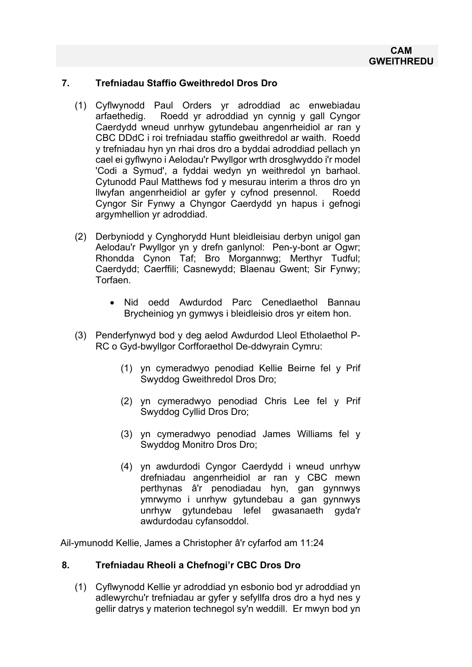### **7. Trefniadau Staffio Gweithredol Dros Dro**

- (1) Cyflwynodd Paul Orders yr adroddiad ac enwebiadau arfaethedig. Roedd yr adroddiad yn cynnig y gall Cyngor Caerdydd wneud unrhyw gytundebau angenrheidiol ar ran y CBC DDdC i roi trefniadau staffio gweithredol ar waith. Roedd y trefniadau hyn yn rhai dros dro a byddai adroddiad pellach yn cael ei gyflwyno i Aelodau'r Pwyllgor wrth drosglwyddo i'r model 'Codi a Symud', a fyddai wedyn yn weithredol yn barhaol. Cytunodd Paul Matthews fod y mesurau interim a thros dro yn llwyfan angenrheidiol ar gyfer y cyfnod presennol. Roedd Cyngor Sir Fynwy a Chyngor Caerdydd yn hapus i gefnogi argymhellion yr adroddiad.
- (2) Derbyniodd y Cynghorydd Hunt bleidleisiau derbyn unigol gan Aelodau'r Pwyllgor yn y drefn ganlynol: Pen-y-bont ar Ogwr; Rhondda Cynon Taf; Bro Morgannwg; Merthyr Tudful; Caerdydd; Caerffili; Casnewydd; Blaenau Gwent; Sir Fynwy; Torfaen.
	- Nid oedd Awdurdod Parc Cenedlaethol Bannau Brycheiniog yn gymwys i bleidleisio dros yr eitem hon.
- (3) Penderfynwyd bod y deg aelod Awdurdod Lleol Etholaethol P-RC o Gyd-bwyllgor Corfforaethol De-ddwyrain Cymru:
	- (1) yn cymeradwyo penodiad Kellie Beirne fel y Prif Swyddog Gweithredol Dros Dro;
	- (2) yn cymeradwyo penodiad Chris Lee fel y Prif Swyddog Cyllid Dros Dro;
	- (3) yn cymeradwyo penodiad James Williams fel y Swyddog Monitro Dros Dro;
	- (4) yn awdurdodi Cyngor Caerdydd i wneud unrhyw drefniadau angenrheidiol ar ran y CBC mewn perthynas â'r penodiadau hyn, gan gynnwys ymrwymo i unrhyw gytundebau a gan gynnwys unrhyw gytundebau lefel gwasanaeth gyda'r awdurdodau cyfansoddol.

Ail-ymunodd Kellie, James a Christopher â'r cyfarfod am 11:24

### **8. Trefniadau Rheoli a Chefnogi'r CBC Dros Dro**

(1) Cyflwynodd Kellie yr adroddiad yn esbonio bod yr adroddiad yn adlewyrchu'r trefniadau ar gyfer y sefyllfa dros dro a hyd nes y gellir datrys y materion technegol sy'n weddill. Er mwyn bod yn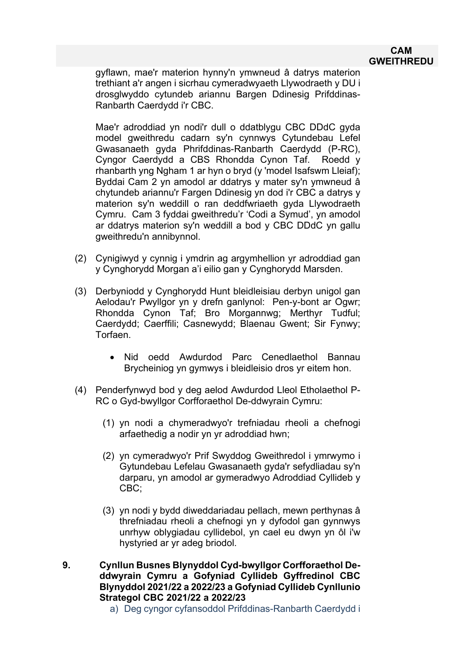### **CAM GWEITHREDU**

gyflawn, mae'r materion hynny'n ymwneud â datrys materion trethiant a'r angen i sicrhau cymeradwyaeth Llywodraeth y DU i drosglwyddo cytundeb ariannu Bargen Ddinesig Prifddinas-Ranbarth Caerdydd i'r CBC.

Mae'r adroddiad yn nodi'r dull o ddatblygu CBC DDdC gyda model gweithredu cadarn sy'n cynnwys Cytundebau Lefel Gwasanaeth gyda Phrifddinas-Ranbarth Caerdydd (P-RC), Cyngor Caerdydd a CBS Rhondda Cynon Taf. Roedd y rhanbarth yng Ngham 1 ar hyn o bryd (y 'model Isafswm Lleiaf); Byddai Cam 2 yn amodol ar ddatrys y mater sy'n ymwneud â chytundeb ariannu'r Fargen Ddinesig yn dod i'r CBC a datrys y materion sy'n weddill o ran deddfwriaeth gyda Llywodraeth Cymru. Cam 3 fyddai gweithredu'r 'Codi a Symud', yn amodol ar ddatrys materion sy'n weddill a bod y CBC DDdC yn gallu gweithredu'n annibynnol.

- (2) Cynigiwyd y cynnig i ymdrin ag argymhellion yr adroddiad gan y Cynghorydd Morgan a'i eilio gan y Cynghorydd Marsden.
- (3) Derbyniodd y Cynghorydd Hunt bleidleisiau derbyn unigol gan Aelodau'r Pwyllgor yn y drefn ganlynol: Pen-y-bont ar Ogwr; Rhondda Cynon Taf; Bro Morgannwg; Merthyr Tudful; Caerdydd; Caerffili; Casnewydd; Blaenau Gwent; Sir Fynwy; Torfaen.
	- Nid oedd Awdurdod Parc Cenedlaethol Bannau Brycheiniog yn gymwys i bleidleisio dros yr eitem hon.
- (4) Penderfynwyd bod y deg aelod Awdurdod Lleol Etholaethol P-RC o Gyd-bwyllgor Corfforaethol De-ddwyrain Cymru:
	- (1) yn nodi a chymeradwyo'r trefniadau rheoli a chefnogi arfaethedig a nodir yn yr adroddiad hwn;
	- (2) yn cymeradwyo'r Prif Swyddog Gweithredol i ymrwymo i Gytundebau Lefelau Gwasanaeth gyda'r sefydliadau sy'n darparu, yn amodol ar gymeradwyo Adroddiad Cyllideb y CBC;
	- (3) yn nodi y bydd diweddariadau pellach, mewn perthynas â threfniadau rheoli a chefnogi yn y dyfodol gan gynnwys unrhyw oblygiadau cyllidebol, yn cael eu dwyn yn ôl i'w hystyried ar yr adeg briodol.
- **9. Cynllun Busnes Blynyddol Cyd-bwyllgor Corfforaethol Deddwyrain Cymru a Gofyniad Cyllideb Gyffredinol CBC Blynyddol 2021/22 a 2022/23 a Gofyniad Cyllideb Cynllunio Strategol CBC 2021/22 a 2022/23**
	- a) Deg cyngor cyfansoddol Prifddinas-Ranbarth Caerdydd i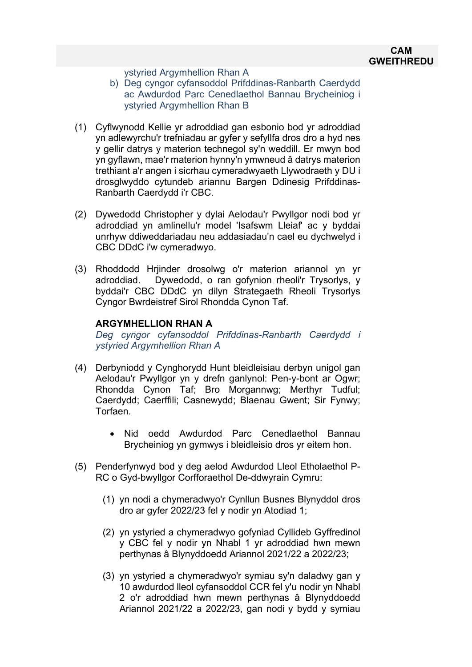ystyried Argymhellion Rhan A

- b) Deg cyngor cyfansoddol Prifddinas-Ranbarth Caerdydd ac Awdurdod Parc Cenedlaethol Bannau Brycheiniog i ystyried Argymhellion Rhan B
- (1) Cyflwynodd Kellie yr adroddiad gan esbonio bod yr adroddiad yn adlewyrchu'r trefniadau ar gyfer y sefyllfa dros dro a hyd nes y gellir datrys y materion technegol sy'n weddill. Er mwyn bod yn gyflawn, mae'r materion hynny'n ymwneud â datrys materion trethiant a'r angen i sicrhau cymeradwyaeth Llywodraeth y DU i drosglwyddo cytundeb ariannu Bargen Ddinesig Prifddinas-Ranbarth Caerdydd i'r CBC.
- (2) Dywedodd Christopher y dylai Aelodau'r Pwyllgor nodi bod yr adroddiad yn amlinellu'r model 'Isafswm Lleiaf' ac y byddai unrhyw ddiweddariadau neu addasiadau'n cael eu dychwelyd i CBC DDdC i'w cymeradwyo.
- (3) Rhoddodd Hrjinder drosolwg o'r materion ariannol yn yr adroddiad. Dywedodd, o ran gofynion rheoli'r Trysorlys, y byddai'r CBC DDdC yn dilyn Strategaeth Rheoli Trysorlys Cyngor Bwrdeistref Sirol Rhondda Cynon Taf.

### **ARGYMHELLION RHAN A**

*Deg cyngor cyfansoddol Prifddinas-Ranbarth Caerdydd i ystyried Argymhellion Rhan A*

- (4) Derbyniodd y Cynghorydd Hunt bleidleisiau derbyn unigol gan Aelodau'r Pwyllgor yn y drefn ganlynol: Pen-y-bont ar Ogwr; Rhondda Cynon Taf; Bro Morgannwg; Merthyr Tudful; Caerdydd; Caerffili; Casnewydd; Blaenau Gwent; Sir Fynwy; Torfaen.
	- Nid oedd Awdurdod Parc Cenedlaethol Bannau Brycheiniog yn gymwys i bleidleisio dros yr eitem hon.
- (5) Penderfynwyd bod y deg aelod Awdurdod Lleol Etholaethol P-RC o Gyd-bwyllgor Corfforaethol De-ddwyrain Cymru:
	- (1) yn nodi a chymeradwyo'r Cynllun Busnes Blynyddol dros dro ar gyfer 2022/23 fel y nodir yn Atodiad 1;
	- (2) yn ystyried a chymeradwyo gofyniad Cyllideb Gyffredinol y CBC fel y nodir yn Nhabl 1 yr adroddiad hwn mewn perthynas â Blynyddoedd Ariannol 2021/22 a 2022/23;
	- (3) yn ystyried a chymeradwyo'r symiau sy'n daladwy gan y 10 awdurdod lleol cyfansoddol CCR fel y'u nodir yn Nhabl 2 o'r adroddiad hwn mewn perthynas â Blynyddoedd Ariannol 2021/22 a 2022/23, gan nodi y bydd y symiau